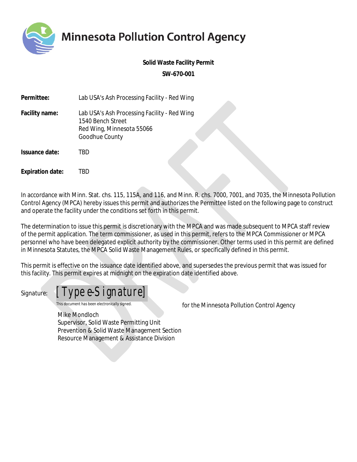**Minnesota Pollution Control Agency** 

**Solid Waste Facility Permit**

**SW-670-001**

| Permittee:              | Lab USA's Ash Processing Facility - Red Wing                                                                     |
|-------------------------|------------------------------------------------------------------------------------------------------------------|
| Facility name:          | Lab USA's Ash Processing Facility - Red Wing<br>1540 Bench Street<br>Red Wing, Minnesota 55066<br>Goodhue County |
| Issuance date:          | TBD                                                                                                              |
| <b>Expiration date:</b> | BD.                                                                                                              |

In accordance with Minn. Stat. chs. 115, 115A, and 116, and Minn. R. chs. 7000, 7001, and 7035, the Minnesota Pollution Control Agency (MPCA) hereby issues this permit and authorizes the Permittee listed on the following page to construct and operate the facility under the conditions set forth in this permit.

The determination to issue this permit is discretionary with the MPCA and was made subsequent to MPCA staff review of the permit application. The term commissioner, as used in this permit, refers to the MPCA Commissioner or MPCA personnel who have been delegated explicit authority by the commissioner. Other terms used in this permit are defined in Minnesota Statutes, the MPCA Solid Waste Management Rules, or specifically defined in this permit.

This permit is effective on the issuance date identified above, and supersedes the previous permit that was issued for this facility. This permit expires at midnight on the expiration date identified above.



*This document has been electronically signed. for the Minnesota Pollution Control Agency* 

Mike Mondloch Supervisor, Solid Waste Permitting Unit Prevention & Solid Waste Management Section Resource Management & Assistance Division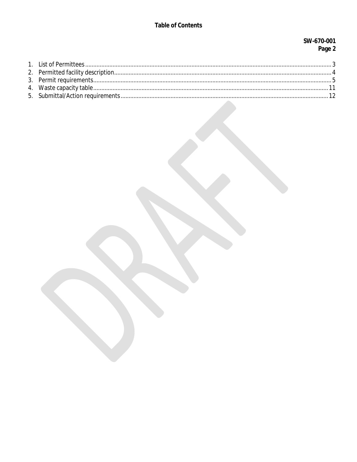## **Table of Contents**

## SW-670-001 Page 2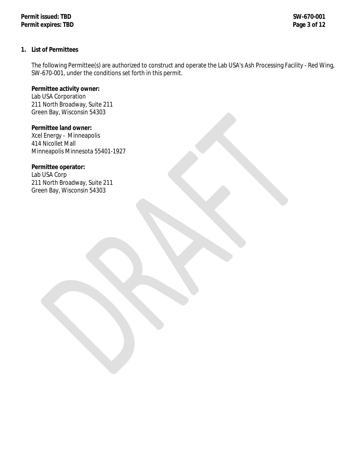#### <span id="page-2-0"></span>**1. List of Permittees**

The following Permittee(s) are authorized to construct and operate the Lab USA's Ash Processing Facility - Red Wing, SW-670-001, under the conditions set forth in this permit.

**Permittee activity owner:** Lab USA Corporation 211 North Broadway, Suite 211 Green Bay, Wisconsin 54303

**Permittee land owner:** Xcel Energy - Minneapolis 414 Nicollet Mall Minneapolis Minnesota 55401-1927

#### **Permittee operator:**

Lab USA Corp 211 North Broadway, Suite 211 Green Bay, Wisconsin 54303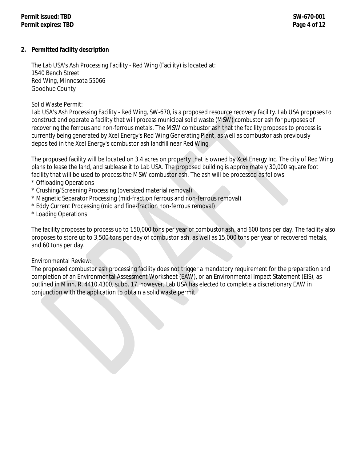#### <span id="page-3-0"></span>**2. Permitted facility description**

The Lab USA's Ash Processing Facility - Red Wing (Facility) is located at: 1540 Bench Street Red Wing, Minnesota 55066 Goodhue County

Solid Waste Permit:

Lab USA's Ash Processing Facility - Red Wing, SW-670, is a proposed resource recovery facility. Lab USA proposes to construct and operate a facility that will process municipal solid waste (MSW) combustor ash for purposes of recovering the ferrous and non-ferrous metals. The MSW combustor ash that the facility proposes to process is currently being generated by Xcel Energy's Red Wing Generating Plant, as well as combustor ash previously deposited in the Xcel Energy's combustor ash landfill near Red Wing.

The proposed facility will be located on 3.4 acres on property that is owned by Xcel Energy Inc. The city of Red Wing plans to lease the land, and sublease it to Lab USA. The proposed building is approximately 30,000 square foot facility that will be used to process the MSW combustor ash. The ash will be processed as follows:

- \* Offloading Operations
- \* Crushing/Screening Processing (oversized material removal)
- \* Magnetic Separator Processing (mid-fraction ferrous and non-ferrous removal)
- \* Eddy Current Processing (mid and fine-fraction non-ferrous removal)
- \* Loading Operations

The facility proposes to process up to 150,000 tons per year of combustor ash, and 600 tons per day. The facility also proposes to store up to 3,500 tons per day of combustor ash, as well as 15,000 tons per year of recovered metals, and 60 tons per day.

#### Environmental Review:

The proposed combustor ash processing facility does not trigger a mandatory requirement for the preparation and completion of an Environmental Assessment Worksheet (EAW), or an Environmental Impact Statement (EIS), as outlined in Minn. R. 4410.4300, subp. 17, however, Lab USA has elected to complete a discretionary EAW in conjunction with the application to obtain a solid waste permit.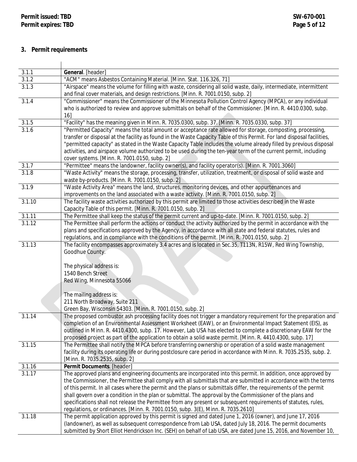# <span id="page-4-0"></span>**3. Permit requirements**

| 3.1.1            | General. [header]                                                                                                                                                                                                                                                                                                                                                                                                                                                                                                                                                                                                                                                        |
|------------------|--------------------------------------------------------------------------------------------------------------------------------------------------------------------------------------------------------------------------------------------------------------------------------------------------------------------------------------------------------------------------------------------------------------------------------------------------------------------------------------------------------------------------------------------------------------------------------------------------------------------------------------------------------------------------|
| 3.1.2            | "ACM" means Asbestos Containing Material. [Minn. Stat. 116.326, 71]                                                                                                                                                                                                                                                                                                                                                                                                                                                                                                                                                                                                      |
| 3.1.3            | "Airspace" means the volume for filling with waste, considering all solid waste, daily, intermediate, intermittent<br>and final cover materials, and design restrictions. [Minn. R. 7001.0150, subp. 2]                                                                                                                                                                                                                                                                                                                                                                                                                                                                  |
| 3.1.4            | "Commissioner" means the Commissioner of the Minnesota Pollution Control Agency (MPCA), or any individual<br>who is authorized to review and approve submittals on behalf of the Commissioner. [Minn. R. 4410.0300, subp.<br>16]                                                                                                                                                                                                                                                                                                                                                                                                                                         |
| 3.1.5            | "Facility" has the meaning given in Minn. R. 7035.0300, subp. 37. [Minn. R. 7035.0330, subp. 37]                                                                                                                                                                                                                                                                                                                                                                                                                                                                                                                                                                         |
| 3.1.6            | "Permitted Capacity" means the total amount or acceptance rate allowed for storage, composting, processing,<br>transfer or disposal at the facility as found in the Waste Capacity Table of this Permit. For land disposal facilities,<br>"permitted capacity" as stated in the Waste Capacity Table includes the volume already filled by previous disposal<br>activities, and airspace volume authorized to be used during the ten-year term of the current permit, including<br>cover systems. [Minn. R. 7001.0150, subp. 2]                                                                                                                                          |
| 3.1.7            | "Permittee" means the landowner, facility owner(s), and facility operator(s). [Minn. R. 7001.3060]                                                                                                                                                                                                                                                                                                                                                                                                                                                                                                                                                                       |
| 3.1.8            | "Waste Activity" means the storage, processing, transfer, utilization, treatment, or disposal of solid waste and<br>waste by-products. [Minn. R. 7001.0150, subp. 2]                                                                                                                                                                                                                                                                                                                                                                                                                                                                                                     |
| 3.1.9            | "Waste Activity Area" means the land, structures, monitoring devices, and other appurtenances and<br>improvements on the land associated with a waste activity. [Minn. R. 7001.0150, subp. 2]                                                                                                                                                                                                                                                                                                                                                                                                                                                                            |
| 3.1.10           | The facility waste activities authorized by this permit are limited to those activities described in the Waste<br>Capacity Table of this permit. [Minn. R. 7001.0150, subp. 2]                                                                                                                                                                                                                                                                                                                                                                                                                                                                                           |
| 3.1.11           | The Permittee shall keep the status of the permit current and up-to-date. [Minn. R. 7001.0150, subp. 2]                                                                                                                                                                                                                                                                                                                                                                                                                                                                                                                                                                  |
| 3.1.12           | The Permittee shall perform the actions or conduct the activity authorized by the permit in accordance with the<br>plans and specifications approved by the Agency, in accordance with all state and federal statutes, rules and<br>regulations, and in compliance with the conditions of the permit. [Minn. R. 7001.0150, subp. 2]                                                                                                                                                                                                                                                                                                                                      |
| 3.1.13           | The facility encompasses approximately 3.4 acres and is located in Sec.35, T113N, R15W, Red Wing Township,<br>Goodhue County.<br>The physical address is:<br>1540 Bench Street<br>Red Wing, Minnesota 55066<br>The mailing address is:                                                                                                                                                                                                                                                                                                                                                                                                                                   |
|                  | 211 North Broadway, Suite 211<br>Green Bay, Wisconsin 54303. [Minn. R. 7001.0150, subp. 2]                                                                                                                                                                                                                                                                                                                                                                                                                                                                                                                                                                               |
| 3.1.14<br>3.1.15 | The proposed combustor ash processing facility does not trigger a mandatory requirement for the preparation and<br>completion of an Environmental Assessment Worksheet (EAW), or an Environmental Impact Statement (EIS), as<br>outlined in Minn. R. 4410.4300, subp. 17. However, Lab USA has elected to complete a discretionary EAW for the<br>proposed project as part of the application to obtain a solid waste permit. [Minn. R. 4410.4300, subp. 17]<br>The Permittee shall notify the MPCA before transferring ownership or operation of a solid waste management                                                                                               |
|                  | facility during its operating life or during postclosure care period in accordance with Minn. R. 7035.2535, subp. 2.<br>[Minn. R. 7035.2535, subp. 2]                                                                                                                                                                                                                                                                                                                                                                                                                                                                                                                    |
| 3.1.16           | Permit Documents. [header]                                                                                                                                                                                                                                                                                                                                                                                                                                                                                                                                                                                                                                               |
| 3.1.17           | The approved plans and engineering documents are incorporated into this permit. In addition, once approved by<br>the Commissioner, the Permittee shall comply with all submittals that are submitted in accordance with the terms<br>of this permit. In all cases where the permit and the plans or submittals differ, the requirements of the permit<br>shall govern over a condition in the plan or submittal. The approval by the Commissioner of the plans and<br>specifications shall not release the Permittee from any present or subsequent requirements of statutes, rules,<br>regulations, or ordinances. [Minn. R. 7001.0150, subp. 3(E), Minn. R. 7035.2610] |
| 3.1.18           | The permit application approved by this permit is signed and dated June 1, 2016 (owner), and June 17, 2016<br>(landowner), as well as subsequent correspondence from Lab USA, dated July 18, 2016. The permit documents<br>submitted by Short Elliot Hendrickson Inc. (SEH) on behalf of Lab USA, are dated June 15, 2016, and November 10,                                                                                                                                                                                                                                                                                                                              |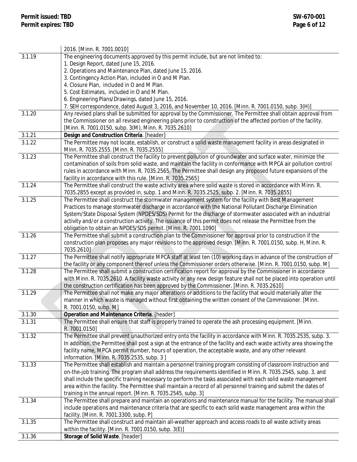|        | 2016. [Minn. R. 7001.0010]                                                                                            |
|--------|-----------------------------------------------------------------------------------------------------------------------|
| 3.1.19 | The engineering documents approved by this permit include, but are not limited to:                                    |
|        | 1. Design Report, dated June 15, 2016.                                                                                |
|        | 2. Operations and Maintenance Plan, dated June 15, 2016.                                                              |
|        | 3. Contingency Action Plan, included in O and M Plan.                                                                 |
|        | 4. Closure Plan, included in O and M Plan.                                                                            |
|        | 5. Cost Estimates, included in O and M Plan.                                                                          |
|        | 6. Engineering Plans/Drawings, dated June 15, 2016.                                                                   |
|        | 7. SEH correspondence, dated August 3, 2016, and November 10, 2016. [Minn. R. 7001.0150, subp. 3(H)]                  |
| 3.1.20 | Any revised plans shall be submitted for approval by the Commissioner. The Permittee shall obtain approval from       |
|        | the Commissioner on all revised engineering plans prior to construction of the affected portion of the facility.      |
|        | [Minn. R. 7001.0150, subp. 3(M), Minn. R. 7035.2610]                                                                  |
| 3.1.21 | Design and Construction Criteria. [header]                                                                            |
| 3.1.22 | The Permittee may not locate, establish, or construct a solid waste management facility in areas designated in        |
|        | Minn. R. 7035.2555. [Minn. R. 7035.2555]                                                                              |
| 3.1.23 | The Permittee shall construct the facility to prevent pollution of groundwater and surface water, minimize the        |
|        | contamination of soils from solid waste, and maintain the facility in conformance with MPCA air pollution control     |
|        | rules in accordance with Minn. R. 7035.2565. The Permittee shall design any proposed future expansions of the         |
|        | facility in accordance with this rule. [Minn. R. 7035.2565]                                                           |
| 3.1.24 | The Permittee shall construct the waste activity area where solid waste is stored in accordance with Minn. R.         |
|        | 7035.2855 except as provided in, subp. 1 and Minn. R. 7035.2525, subp. 2. [Minn. R. 7035.2855]                        |
| 3.1.25 | The Permittee shall construct the stormwater management system for the facility with Best Management                  |
|        | Practices to manage stormwater discharge in accordance with the National Pollutant Discharge Elimination              |
|        | System/State Disposal System (NPDES/SDS) Permit for the discharge of stormwater associated with an industrial         |
|        | activity and/or a construction activity. The issuance of this permit does not release the Permittee from the          |
|        | obligation to obtain an NPDES/SDS permit. [Minn. R. 7001.1090]                                                        |
| 3.1.26 | The Permittee shall submit a construction plan to the Commissioner for approval prior to construction if the          |
|        | construction plan proposes any major revisions to the approved design. [Minn. R. 7001.0150, subp. H, Minn. R.         |
|        | 7035.2610]                                                                                                            |
| 3.1.27 | The Permittee shall notify appropriate MPCA staff at least ten (10) working days in advance of the construction of    |
|        | the facility or any component thereof unless the Commissioner orders otherwise. [Minn. R. 7001.0150, subp. M]         |
| 3.1.28 | The Permittee shall submit a construction certification report for approval by the Commissioner in accordance         |
|        | with Minn. R. 7035.2610. A facility waste activity or any new design feature shall not be placed into operation until |
|        | the construction certification has been approved by the Commissioner. [Minn. R. 7035.2610]                            |
| 3.1.29 | The Permittee shall not make any major alterations or additions to the facility that would materially alter the       |
|        | manner in which waste is managed without first obtaining the written consent of the Commissioner. [Minn.              |
|        | R. 7001.0150, subp. M]                                                                                                |
| 3.1.30 | Operation and Maintenance Criteria. [header]                                                                          |
| 3.1.31 | The Permittee shall ensure that staff is properly trained to operate the ash processing equipment. [Minn.             |
|        | R. 7001.0150]                                                                                                         |
| 3.1.32 | The Permittee shall prevent unauthorized entry onto the facility in accordance with Minn. R. 7035.2535, subp. 3.      |
|        | In addition, the Permittee shall post a sign at the entrance of the facility and each waste activity area showing the |
|        | facility name, MPCA permit number, hours of operation, the acceptable waste, and any other relevant                   |
|        | information. [Minn. R. 7035.2535, subp. 3]                                                                            |
| 3.1.33 | The Permittee shall establish and maintain a personnel training program consisting of classroom instruction and       |
|        | on-the-job training. The program shall address the requirements identified in Minn. R. 7035.2545, subp. 3, and        |
|        | shall include the specific training necessary to perform the tasks associated with each solid waste management        |
|        | area within the facility. The Permittee shall maintain a record of all personnel training and submit the dates of     |
|        | training in the annual report. [Minn. R. 7035.2545, subp. 3]                                                          |
| 3.1.34 | The Permittee shall prepare and maintain an operations and maintenance manual for the facility. The manual shall      |
|        | include operations and maintenance criteria that are specific to each solid waste management area within the          |
|        | facility. [Minn. R. 7001.3300, subp. P]                                                                               |
| 3.1.35 | The Permittee shall construct and maintain all-weather approach and access roads to all waste activity areas          |
|        | within the facility. [Minn. R. 7001.0150, subp. 3(E)]                                                                 |
| 3.1.36 | Storage of Solid Waste. [header]                                                                                      |
|        |                                                                                                                       |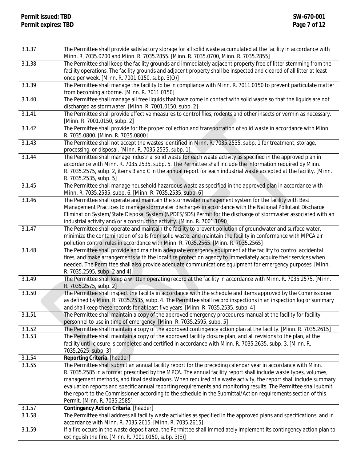| 3.1.37 | The Permittee shall provide satisfactory storage for all solid waste accumulated at the facility in accordance with<br>Minn. R. 7035.0700 and Minn. R. 7035.2855. [Minn. R. 7035.0700, Minn. R. 7035.2855] |
|--------|------------------------------------------------------------------------------------------------------------------------------------------------------------------------------------------------------------|
| 3.1.38 |                                                                                                                                                                                                            |
|        | The Permittee shall keep the facility grounds and immediately adjacent property free of litter stemming from the                                                                                           |
|        | facility operations. The facility grounds and adjacent property shall be inspected and cleared of all litter at least                                                                                      |
|        | once per week. [Minn. R. 7001.0150, subp. 3(O)]                                                                                                                                                            |
| 3.1.39 | The Permittee shall manage the facility to be in compliance with Minn. R. 7011.0150 to prevent particulate matter                                                                                          |
|        | from becoming airborne. [Minn. R. 7011.0150]                                                                                                                                                               |
| 3.1.40 | The Permittee shall manage all free liquids that have come in contact with solid waste so that the liquids are not                                                                                         |
|        | discharged as stormwater. [Minn. R. 7001.0150, subp. 2]                                                                                                                                                    |
| 3.1.41 | The Permittee shall provide effective measures to control flies, rodents and other insects or vermin as necessary.                                                                                         |
|        | [Minn. R. 7001.0150, subp. 2]                                                                                                                                                                              |
| 3.1.42 | The Permittee shall provide for the proper collection and transportation of solid waste in accordance with Minn.                                                                                           |
|        | R. 7035.0800. [Minn. R. 7035.0800]                                                                                                                                                                         |
| 3.1.43 | The Permittee shall not accept the wastes identified in Minn. R. 7035.2535, subp. 1 for treatment, storage,                                                                                                |
|        | processing, or disposal. [Minn. R. 7035.2535, subp. 1]                                                                                                                                                     |
| 3.1.44 | The Permittee shall manage industrial solid waste for each waste activity as specified in the approved plan in                                                                                             |
|        | accordance with Minn. R. 7035.2535, subp. 5. The Permittee shall include the information required by Minn.                                                                                                 |
|        |                                                                                                                                                                                                            |
|        | R. 7035.2575, subp. 2, items B and C in the annual report for each industrial waste accepted at the facility. [Minn.                                                                                       |
|        | R. 7035.2535, subp. 5]                                                                                                                                                                                     |
| 3.1.45 | The Permittee shall manage household hazardous waste as specified in the approved plan in accordance with                                                                                                  |
|        | Minn. R. 7035.2535, subp. 6. [Minn. R. 7035.2535, subp. 6]                                                                                                                                                 |
| 3.1.46 | The Permittee shall operate and maintain the stormwater management system for the facility with Best                                                                                                       |
|        | Management Practices to manage stormwater discharges in accordance with the National Pollutant Discharge                                                                                                   |
|        | Elimination System/State Disposal System (NPDES/SDS) Permit for the discharge of stormwater associated with an                                                                                             |
|        | industrial activity and/or a construction activity. [Minn. R. 7001.1090]                                                                                                                                   |
| 3.1.47 | The Permittee shall operate and maintain the facility to prevent pollution of groundwater and surface water,                                                                                               |
|        | minimize the contamination of soils from solid waste, and maintain the facility in conformance with MPCA air                                                                                               |
|        | pollution control rules in accordance with Minn. R. 7035.2565. [Minn. R. 7035.2565]                                                                                                                        |
| 3.1.48 | The Permittee shall provide and maintain adequate emergency equipment at the facility to control accidental                                                                                                |
|        | fires, and make arrangements with the local fire protection agency to immediately acquire their services when                                                                                              |
|        | needed. The Permittee shall also provide adequate communications equipment for emergency purposes. [Minn.                                                                                                  |
|        | R. 7035.2595, subp. 2 and 4]                                                                                                                                                                               |
| 3.1.49 | The Permittee shall keep a written operating record at the facility in accordance with Minn. R. 7035.2575. [Minn.                                                                                          |
|        | R. 7035.2575, subp. 2]                                                                                                                                                                                     |
| 3.1.50 | The Permittee shall inspect the facility in accordance with the schedule and items approved by the Commissioner                                                                                            |
|        | as defined by Minn. R. 7035.2535, subp. 4. The Permittee shall record inspections in an inspection log or summary                                                                                          |
|        |                                                                                                                                                                                                            |
|        | and shall keep these records for at least five years. [Minn. R. 7035.2535, subp. 4]                                                                                                                        |
| 3.1.51 | The Permittee shall maintain a copy of the approved emergency procedures manual at the facility for facility                                                                                               |
|        | personnel to use in time of emergency. [Minn. R. 7035.2595, subp. 5]                                                                                                                                       |
| 3.1.52 | The Permittee shall maintain a copy of the approved contingency action plan at the facility. [Minn. R. 7035.2615]                                                                                          |
| 3.1.53 | The Permittee shall maintain a copy of the approved facility closure plan, and all revisions to the plan, at the                                                                                           |
|        | facility until closure is completed and certified in accordance with Minn. R. 7035.2635, subp. 3. [Minn. R.                                                                                                |
|        | 7035.2625, subp. 3]                                                                                                                                                                                        |
| 3.1.54 | Reporting Criteria. [header]                                                                                                                                                                               |
| 3.1.55 | The Permittee shall submit an annual facility report for the preceding calendar year in accordance with Minn.                                                                                              |
|        | R. 7035.2585 in a format prescribed by the MPCA. The annual facility report shall include waste types, volumes,                                                                                            |
|        | management methods, and final destinations. When required of a waste activity, the report shall include summary                                                                                            |
|        | evaluation reports and specific annual reporting requirements and monitoring results. The Permittee shall submit                                                                                           |
|        | the report to the Commissioner according to the schedule in the Submittal/Action requirements section of this                                                                                              |
|        | Permit. [Minn. R. 7035.2585]                                                                                                                                                                               |
| 3.1.57 | Contingency Action Criteria. [header]                                                                                                                                                                      |
| 3.1.58 | The Permittee shall address all facility waste activities as specified in the approved plans and specifications, and in                                                                                    |
|        | accordance with Minn. R. 7035.2615. [Minn. R. 7035.2615]                                                                                                                                                   |
| 3.1.59 | If a fire occurs in the waste deposit area, the Permittee shall immediately implement its contingency action plan to                                                                                       |
|        | extinguish the fire. [Minn. R. 7001.0150, subp. 3(E)]                                                                                                                                                      |
|        |                                                                                                                                                                                                            |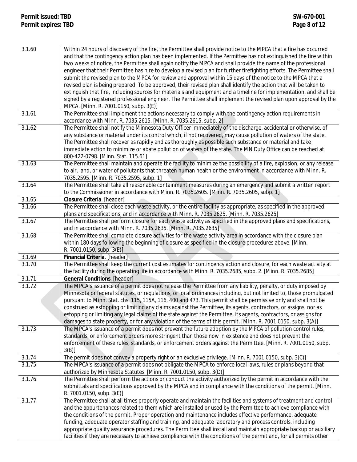| 3.1.60 | Within 24 hours of discovery of the fire, the Permittee shall provide notice to the MPCA that a fire has occurred<br>and that the contingency action plan has been implemented. If the Permittee has not extinguished the fire within<br>two weeks of notice, the Permittee shall again notify the MPCA and shall provide the name of the professional<br>engineer that their Permittee has hire to develop a revised plan for further firefighting efforts. The Permittee shall<br>submit the revised plan to the MPCA for review and approval within 15 days of the notice to the MPCA that a<br>revised plan is being prepared. To be approved, their revised plan shall identify the action that will be taken to<br>extinguish that fire, including sources for materials and equipment and a timeline for implementation, and shall be<br>signed by a registered professional engineer. The Permittee shall implement the revised plan upon approval by the |
|--------|-------------------------------------------------------------------------------------------------------------------------------------------------------------------------------------------------------------------------------------------------------------------------------------------------------------------------------------------------------------------------------------------------------------------------------------------------------------------------------------------------------------------------------------------------------------------------------------------------------------------------------------------------------------------------------------------------------------------------------------------------------------------------------------------------------------------------------------------------------------------------------------------------------------------------------------------------------------------|
| 3.1.61 | MPCA. [Minn. R. 7001.0150, subp. 3(E)]<br>The Permittee shall implement the actions necessary to comply with the contingency action requirements in                                                                                                                                                                                                                                                                                                                                                                                                                                                                                                                                                                                                                                                                                                                                                                                                               |
| 3.1.62 | accordance with Minn. R. 7035.2615. [Minn. R. 7035.2615, subp. 2]<br>The Permittee shall notify the Minnesota Duty Officer immediately of the discharge, accidental or otherwise, of                                                                                                                                                                                                                                                                                                                                                                                                                                                                                                                                                                                                                                                                                                                                                                              |
|        | any substance or material under its control which, if not recovered, may cause pollution of waters of the state.<br>The Permittee shall recover as rapidly and as thoroughly as possible such substance or material and take<br>immediate action to minimize or abate pollution of waters of the state. The MN Duty Office can be reached at                                                                                                                                                                                                                                                                                                                                                                                                                                                                                                                                                                                                                      |
|        | 800-422-0798. [Minn. Stat. 115.61]                                                                                                                                                                                                                                                                                                                                                                                                                                                                                                                                                                                                                                                                                                                                                                                                                                                                                                                                |
| 3.1.63 | The Permittee shall maintain and operate the facility to minimize the possibility of a fire, explosion, or any release<br>to air, land, or water of pollutants that threaten human health or the environment in accordance with Minn. R.<br>7035.2595. [Minn. R. 7035.2595, subp. 1]                                                                                                                                                                                                                                                                                                                                                                                                                                                                                                                                                                                                                                                                              |
| 3.1.64 | The Permittee shall take all reasonable containment measures during an emergency and submit a written report                                                                                                                                                                                                                                                                                                                                                                                                                                                                                                                                                                                                                                                                                                                                                                                                                                                      |
|        | to the Commissioner in accordance with Minn. R. 7035.2605. [Minn. R. 7035.2605, subp. 1]                                                                                                                                                                                                                                                                                                                                                                                                                                                                                                                                                                                                                                                                                                                                                                                                                                                                          |
| 3.1.65 | Closure Criteria. [header]                                                                                                                                                                                                                                                                                                                                                                                                                                                                                                                                                                                                                                                                                                                                                                                                                                                                                                                                        |
| 3.1.66 | The Permittee shall close each waste activity, or the entire facility as appropriate, as specified in the approved                                                                                                                                                                                                                                                                                                                                                                                                                                                                                                                                                                                                                                                                                                                                                                                                                                                |
| 3.1.67 | plans and specifications, and in accordance with Minn. R. 7035.2625. [Minn. R. 7035.2625]                                                                                                                                                                                                                                                                                                                                                                                                                                                                                                                                                                                                                                                                                                                                                                                                                                                                         |
|        | The Permittee shall perform closure for each waste activity as specified in the approved plans and specifications,<br>and in accordance with Minn. R. 7035.2635. [Minn. R. 7035.2635]                                                                                                                                                                                                                                                                                                                                                                                                                                                                                                                                                                                                                                                                                                                                                                             |
| 3.1.68 | The Permittee shall complete closure activities for the waste activity area in accordance with the closure plan                                                                                                                                                                                                                                                                                                                                                                                                                                                                                                                                                                                                                                                                                                                                                                                                                                                   |
|        | within 180 days following the beginning of closure as specified in the closure procedures above. [Minn.<br>R. 7001.0150, subp. 3(E)]                                                                                                                                                                                                                                                                                                                                                                                                                                                                                                                                                                                                                                                                                                                                                                                                                              |
| 3.1.69 | Financial Criteria. [header]                                                                                                                                                                                                                                                                                                                                                                                                                                                                                                                                                                                                                                                                                                                                                                                                                                                                                                                                      |
| 3.1.70 | The Permittee shall keep the current cost estimates for contingency action and closure, for each waste activity at<br>the facility during the operating life in accordance with Minn. R. 7035.2685, subp. 2. [Minn. R. 7035.2685]                                                                                                                                                                                                                                                                                                                                                                                                                                                                                                                                                                                                                                                                                                                                 |
| 3.1.71 | <b>General Conditions</b> . [header]                                                                                                                                                                                                                                                                                                                                                                                                                                                                                                                                                                                                                                                                                                                                                                                                                                                                                                                              |
| 3.1.72 | The MPCA's issuance of a permit does not release the Permittee from any liability, penalty, or duty imposed by<br>Minnesota or federal statutes, or regulations, or local ordinances including, but not limited to, those promulgated<br>pursuant to Minn. Stat. chs. 115, 115A, 116, 400 and 473. This permit shall be permissive only and shall not be<br>construed as estopping or limiting any claims against the Permittee, its agents, contractors, or assigns, nor as                                                                                                                                                                                                                                                                                                                                                                                                                                                                                      |
|        | estopping or limiting any legal claims of the state against the Permittee, its agents, contractors, or assigns for<br>damages to state property, or for any violation of the terms of this permit. [Minn. R. 7001.0150, subp. 3(A)]                                                                                                                                                                                                                                                                                                                                                                                                                                                                                                                                                                                                                                                                                                                               |
| 3.1.73 | The MPCA's issuance of a permit does not prevent the future adoption by the MPCA of pollution control rules,                                                                                                                                                                                                                                                                                                                                                                                                                                                                                                                                                                                                                                                                                                                                                                                                                                                      |
|        | standards, or enforcement orders more stringent than those now in existence and does not prevent the                                                                                                                                                                                                                                                                                                                                                                                                                                                                                                                                                                                                                                                                                                                                                                                                                                                              |
|        | enforcement of these rules, standards, or enforcement orders against the Permittee. [Minn. R. 7001.0150, subp.<br>$3(B)$ ]                                                                                                                                                                                                                                                                                                                                                                                                                                                                                                                                                                                                                                                                                                                                                                                                                                        |
| 3.1.74 | The permit does not convey a property right or an exclusive privilege. [Minn. R. 7001.0150, subp. 3(C)]                                                                                                                                                                                                                                                                                                                                                                                                                                                                                                                                                                                                                                                                                                                                                                                                                                                           |
| 3.1.75 | The MPCA's issuance of a permit does not obligate the MPCA to enforce local laws, rules or plans beyond that                                                                                                                                                                                                                                                                                                                                                                                                                                                                                                                                                                                                                                                                                                                                                                                                                                                      |
|        | authorized by Minnesota Statutes. [Minn. R. 7001.0150, subp. 3(D)]                                                                                                                                                                                                                                                                                                                                                                                                                                                                                                                                                                                                                                                                                                                                                                                                                                                                                                |
| 3.1.76 | The Permittee shall perform the actions or conduct the activity authorized by the permit in accordance with the<br>submittals and specifications approved by the MPCA and in compliance with the conditions of the permit. [Minn.<br>R. 7001.0150, subp. 3(E)]                                                                                                                                                                                                                                                                                                                                                                                                                                                                                                                                                                                                                                                                                                    |
| 3.1.77 | The Permittee shall at all times properly operate and maintain the facilities and systems of treatment and control                                                                                                                                                                                                                                                                                                                                                                                                                                                                                                                                                                                                                                                                                                                                                                                                                                                |
|        | and the appurtenances related to them which are installed or used by the Permittee to achieve compliance with                                                                                                                                                                                                                                                                                                                                                                                                                                                                                                                                                                                                                                                                                                                                                                                                                                                     |
|        | the conditions of the permit. Proper operation and maintenance includes effective performance, adequate                                                                                                                                                                                                                                                                                                                                                                                                                                                                                                                                                                                                                                                                                                                                                                                                                                                           |
|        | funding, adequate operator staffing and training, and adequate laboratory and process controls, including                                                                                                                                                                                                                                                                                                                                                                                                                                                                                                                                                                                                                                                                                                                                                                                                                                                         |
|        | appropriate quality assurance procedures. The Permittee shall install and maintain appropriate backup or auxiliary<br>facilities if they are necessary to achieve compliance with the conditions of the permit and, for all permits other                                                                                                                                                                                                                                                                                                                                                                                                                                                                                                                                                                                                                                                                                                                         |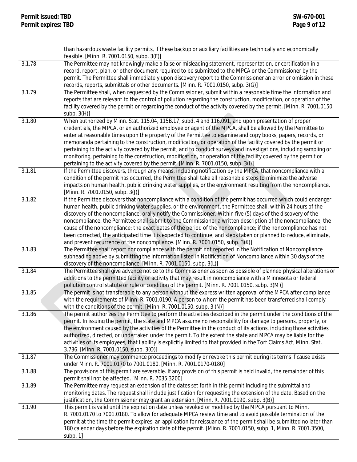|        | than hazardous waste facility permits, if these backup or auxiliary facilities are technically and economically<br>feasible. [Minn. R. 7001.0150, subp. 3(F)]                                                                              |
|--------|--------------------------------------------------------------------------------------------------------------------------------------------------------------------------------------------------------------------------------------------|
| 3.1.78 | The Permittee may not knowingly make a false or misleading statement, representation, or certification in a                                                                                                                                |
|        | record, report, plan, or other document required to be submitted to the MPCA or the Commissioner by the                                                                                                                                    |
|        | permit. The Permittee shall immediately upon discovery report to the Commissioner an error or omission in these                                                                                                                            |
|        | records, reports, submittals or other documents. [Minn. R. 7001.0150, subp. 3(G)]                                                                                                                                                          |
| 3.1.79 | The Permittee shall, when requested by the Commissioner, submit within a reasonable time the information and                                                                                                                               |
|        | reports that are relevant to the control of pollution regarding the construction, modification, or operation of the<br>facility covered by the permit or regarding the conduct of the activity covered by the permit. [Minn. R. 7001.0150, |
|        | subp. $3(H)$ ]                                                                                                                                                                                                                             |
| 3.1.80 | When authorized by Minn. Stat. 115.04, 115B.17, subd. 4 and 116.091, and upon presentation of proper                                                                                                                                       |
|        | credentials, the MPCA, or an authorized employee or agent of the MPCA, shall be allowed by the Permittee to                                                                                                                                |
|        | enter at reasonable times upon the property of the Permittee to examine and copy books, papers, records, or                                                                                                                                |
|        | memoranda pertaining to the construction, modification, or operation of the facility covered by the permit or                                                                                                                              |
|        | pertaining to the activity covered by the permit; and to conduct surveys and investigations, including sampling or                                                                                                                         |
|        | monitoring, pertaining to the construction, modification, or operation of the facility covered by the permit or                                                                                                                            |
|        | pertaining to the activity covered by the permit. [Minn. R. 7001.0150, subp. 3(I)]                                                                                                                                                         |
| 3.1.81 | If the Permittee discovers, through any means, including notification by the MPCA, that noncompliance with a<br>condition of the permit has occurred, the Permittee shall take all reasonable steps to minimize the adverse                |
|        | impacts on human health, public drinking water supplies, or the environment resulting from the noncompliance.                                                                                                                              |
|        | [Minn. R. 7001.0150, subp. 3(J)]                                                                                                                                                                                                           |
| 3.1.82 | If the Permittee discovers that noncompliance with a condition of the permit has occurred which could endanger                                                                                                                             |
|        | human health, public drinking water supplies, or the environment, the Permittee shall, within 24 hours of the                                                                                                                              |
|        | discovery of the noncompliance, orally notify the Commissioner. Within five (5) days of the discovery of the                                                                                                                               |
|        | noncompliance, the Permittee shall submit to the Commissioner a written description of the noncompliance; the                                                                                                                              |
|        | cause of the noncompliance; the exact dates of the period of the noncompliance; if the noncompliance has not<br>been corrected, the anticipated time it is expected to continue; and steps taken or planned to reduce, eliminate,          |
|        | and prevent recurrence of the noncompliance. [Minn. R. 7001.0150, subp. 3(K)]                                                                                                                                                              |
| 3.1.83 | The Permittee shall report noncompliance with the permit not reported in the Notification of Noncompliance                                                                                                                                 |
|        | subheading above by submitting the information listed in Notification of Noncompliance within 30 days of the                                                                                                                               |
|        | discovery of the noncompliance. [Minn. R. 7001.0150, subp. 3(L)]                                                                                                                                                                           |
| 3.1.84 | The Permittee shall give advance notice to the Commissioner as soon as possible of planned physical alterations or                                                                                                                         |
|        | additions to the permitted facility or activity that may result in noncompliance with a Minnesota or federal<br>pollution control statute or rule or condition of the permit. [Minn. R. 7001.0150, subp. 3(M)]                             |
| 3.1.85 | The permit is not transferable to any person without the express written approval of the MPCA after compliance                                                                                                                             |
|        | with the requirements of Minn. R. 7001.0190. A person to whom the permit has been transferred shall comply                                                                                                                                 |
|        | with the conditions of the permit. [Minn. R. 7001.0150, subp. 3 (N)]                                                                                                                                                                       |
| 3.1.86 | The permit authorizes the Permittee to perform the activities described in the permit under the conditions of the                                                                                                                          |
|        | permit. In issuing the permit, the state and MPCA assume no responsibility for damage to persons, property, or                                                                                                                             |
|        | the environment caused by the activities of the Permittee in the conduct of its actions, including those activities                                                                                                                        |
|        | authorized, directed, or undertaken under the permit. To the extent the state and MPCA may be liable for the                                                                                                                               |
|        | activities of its employees, that liability is explicitly limited to that provided in the Tort Claims Act, Minn. Stat.<br>3.736. [Minn. R. 7001.0150, subp. 3(O)]                                                                          |
| 3.1.87 | The Commissioner may commence proceedings to modify or revoke this permit during its terms if cause exists                                                                                                                                 |
|        | under Minn. R. 7001.0170 to 7001.0180. [Minn. R. 7001.0170-0180]                                                                                                                                                                           |
| 3.1.88 | The provisions of this permit are severable. If any provision of this permit is held invalid, the remainder of this                                                                                                                        |
|        | permit shall not be affected. [Minn. R. 7035.3200]                                                                                                                                                                                         |
| 3.1.89 | The Permittee may request an extension of the dates set forth in this permit including the submittal and                                                                                                                                   |
|        | monitoring dates. The request shall include justification for requesting the extension of the date. Based on the<br>justification, the Commissioner may grant an extension. [Minn. R. 7001.0190, subp. 3(B)]                               |
| 3.1.90 | This permit is valid until the expiration date unless revoked or modified by the MPCA pursuant to Minn.                                                                                                                                    |
|        | R. 7001.0170 to 7001.0180. To allow for adequate MPCA review time and to avoid possible termination of the                                                                                                                                 |
|        | permit at the time the permit expires, an application for reissuance of the permit shall be submitted no later than                                                                                                                        |
|        | 180 calendar days before the expiration date of the permit. [Minn. R. 7001.0150, subp. 1, Minn. R. 7001.3500,                                                                                                                              |
|        | subp. 1]                                                                                                                                                                                                                                   |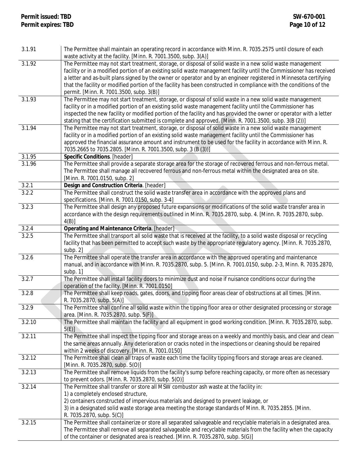| 3.1.91 | The Permittee shall maintain an operating record in accordance with Minn. R. 7035.2575 until closure of each<br>waste activity at the facility. [Minn. R. 7001.3500, subp. 3(A)] |
|--------|----------------------------------------------------------------------------------------------------------------------------------------------------------------------------------|
| 3.1.92 |                                                                                                                                                                                  |
|        | The Permittee may not start treatment, storage, or disposal of solid waste in a new solid waste management                                                                       |
|        | facility or in a modified portion of an existing solid waste management facility until the Commissioner has received                                                             |
|        | a letter and as-built plans signed by the owner or operator and by an engineer registered in Minnesota certifying                                                                |
|        | that the facility or modified portion of the facility has been constructed in compliance with the conditions of the                                                              |
|        | permit. [Minn. R. 7001.3500, subp. 3(B)]                                                                                                                                         |
| 3.1.93 | The Permittee may not start treatment, storage, or disposal of solid waste in a new solid waste management                                                                       |
|        | facility or in a modified portion of an existing solid waste management facility until the Commissioner has                                                                      |
|        | inspected the new facility or modified portion of the facility and has provided the owner or operator with a letter                                                              |
|        | stating that the certification submitted is complete and approved. [Minn. R. 7001.3500, subp. 3(B (2))]                                                                          |
| 3.1.94 | The Permittee may not start treatment, storage, or disposal of solid waste in a new solid waste management                                                                       |
|        | facility or in a modified portion of an existing solid waste management facility until the Commissioner has                                                                      |
|        | approved the financial assurance amount and instrument to be used for the facility in accordance with Minn. R.                                                                   |
|        | 7035.2665 to 7035.2805. [Minn. R. 7001.3500, subp. 3 (B (3))]                                                                                                                    |
| 3.1.95 | Specific Conditions. [header]                                                                                                                                                    |
| 3.1.96 | The Permittee shall provide a separate storage area for the storage of recovered ferrous and non-ferrous metal.                                                                  |
|        | The Permittee shall manage all recovered ferrous and non-ferrous metal within the designated area on site.                                                                       |
|        | [Minn. R. 7001.0150, subp. 2]                                                                                                                                                    |
| 3.2.1  | Design and Construction Criteria. [header]                                                                                                                                       |
| 3.2.2  | The Permittee shall construct the solid waste transfer area in accordance with the approved plans and                                                                            |
|        | specifications. [Minn. R. 7001.0150, subp. 3-4]                                                                                                                                  |
| 3.2.3  | The Permittee shall design any proposed future expansions or modifications of the solid waste transfer area in                                                                   |
|        | accordance with the design requirements outlined in Minn. R. 7035.2870, subp. 4. [Minn. R. 7035.2870, subp.                                                                      |
|        | $4(B)$ ]                                                                                                                                                                         |
| 3.2.4  | <b>Operating and Maintenance Criteria. [header]</b>                                                                                                                              |
| 3.2.5  | The Permittee shall transport all solid waste that is received at the facility, to a solid waste disposal or recycling                                                           |
|        | facility that has been permitted to accept such waste by the appropriate regulatory agency. [Minn. R. 7035.2870,                                                                 |
|        | subp. 2]                                                                                                                                                                         |
| 3.2.6  | The Permittee shall operate the transfer area in accordance with the approved operating and maintenance                                                                          |
|        | manual, and in accordance with Minn. R. 7035.2870, subp. 5. [Minn. R. 7001.0150, subp. 2-3, Minn. R. 7035.2870,                                                                  |
|        | subp. 1]                                                                                                                                                                         |
| 3.2.7  | The Permittee shall install facility doors to minimize dust and noise if nuisance conditions occur during the                                                                    |
|        | operation of the facility. [Minn. R. 7001.0150]                                                                                                                                  |
| 3.2.8  | The Permittee shall keep roads, gates, doors, and tipping floor areas clear of obstructions at all times. [Minn.                                                                 |
|        | R. 7035.2870, subp. 5(A)]                                                                                                                                                        |
| 3.2.9  | The Permittee shall confine all solid waste within the tipping floor area or other designated processing or storage                                                              |
|        | area. [Minn. R. 7035.2870, subp. 5(F)]                                                                                                                                           |
| 3.2.10 | The Permittee shall maintain the facility and all equipment in good working condition. [Minn. R. 7035.2870, subp.<br>$5(E)$ ]                                                    |
| 3.2.11 | The Permittee shall inspect the tipping floor and storage areas on a weekly and monthly basis, and clear and clean                                                               |
|        | the same areas annually. Any deterioration or cracks noted in the inspections or cleaning should be repaired                                                                     |
|        | within 2 weeks of discovery. [Minn. R. 7001.0150]                                                                                                                                |
| 3.2.12 | The Permittee shall clean all traps of waste each time the facility tipping floors and storage areas are cleaned.                                                                |
|        | [Minn. R. 7035.2870, subp. 5(O)]                                                                                                                                                 |
| 3.2.13 | The Permittee shall remove liquids from the facility's sump before reaching capacity, or more often as necessary                                                                 |
|        | to prevent odors. [Minn. R. 7035.2870, subp. 5(O)]                                                                                                                               |
| 3.2.14 | The Permittee shall transfer or store all MSW combustor ash waste at the facility in:                                                                                            |
|        | 1) a completely enclosed structure,                                                                                                                                              |
|        | 2) containers constructed of impervious materials and designed to prevent leakage, or                                                                                            |
|        | 3) in a designated solid waste storage area meeting the storage standards of Minn. R. 7035.2855. [Minn.                                                                          |
|        | R. 7035.2870, subp. 5(C)]                                                                                                                                                        |
| 3.2.15 | The Permittee shall containerize or store all separated salvageable and recyclable materials in a designated area.                                                               |
|        | The Permittee shall remove all separated salvageable and recyclable materials from the facility when the capacity                                                                |
|        | of the container or designated area is reached. [Minn. R. 7035.2870, subp. 5(G)]                                                                                                 |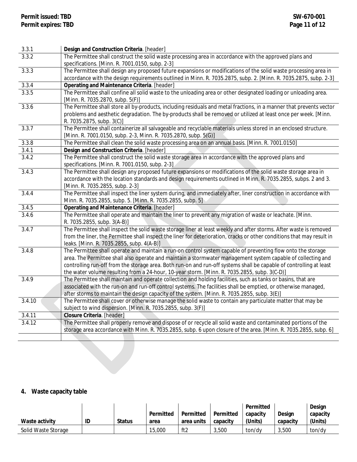| 3.3.1                         | Design and Construction Criteria. [header]                                                                             |
|-------------------------------|------------------------------------------------------------------------------------------------------------------------|
| 3.3.2                         | The Permittee shall construct the solid waste processing area in accordance with the approved plans and                |
|                               | specifications. [Minn. R. 7001.0150, subp. 2-3]                                                                        |
| 3.3.3                         | The Permittee shall design any proposed future expansions or modifications of the solid waste processing area in       |
|                               | accordance with the design requirements outlined in Minn. R. 7035.2875, subp. 2. [Minn. R. 7035.2875, subp. 2-3]       |
| 3.3.4                         | Operating and Maintenance Criteria. [header]                                                                           |
| 3.3.5                         | The Permittee shall confine all solid waste to the unloading area or other designated loading or unloading area.       |
|                               | [Minn. R. 7035.2870, subp. 5(F)]                                                                                       |
| 3.3.6                         | The Permittee shall store all by-products, including residuals and metal fractions, in a manner that prevents vector   |
|                               | problems and aesthetic degradation. The by-products shall be removed or utilized at least once per week. [Minn.        |
|                               | R. 7035.2875, subp. 3(C)]                                                                                              |
| 3.3.7                         | The Permittee shall containerize all salvageable and recyclable materials unless stored in an enclosed structure.      |
|                               | [Minn. R. 7001.0150, subp. 2-3, Minn. R. 7035.2870, subp. 5(G)]                                                        |
| 3.3.8                         | The Permittee shall clean the solid waste processing area on an annual basis. [Minn. R. 7001.0150]                     |
| 3.4.1                         | Design and Construction Criteria. [header]                                                                             |
| 3.4.2                         | The Permittee shall construct the solid waste storage area in accordance with the approved plans and                   |
|                               | specifications. [Minn. R. 7001.0150, subp. 2-3]                                                                        |
| 3.4.3                         | The Permittee shall design any proposed future expansions or modifications of the solid waste storage area in          |
|                               | accordance with the location standards and design requirements outlined in Minn. R. 7035.2855, subps. 2 and 3.         |
|                               | [Minn. R. 7035.2855, subp. 2-3]                                                                                        |
| 3.4.4                         | The Permittee shall inspect the liner system during, and immediately after, liner construction in accordance with      |
|                               | Minn. R. 7035.2855, subp. 5. [Minn. R. 7035.2855, subp. 5]                                                             |
| 3.4.5                         | Operating and Maintenance Criteria. [header]                                                                           |
| 3.4.6                         | The Permittee shall operate and maintain the liner to prevent any migration of waste or leachate. [Minn.               |
|                               | R. 7035.2855, subp. 3(A-B)]                                                                                            |
| 3.4.7                         | The Permittee shall inspect the solid waste storage liner at least weekly and after storms. After waste is removed     |
|                               | from the liner, the Permittee shall inspect the liner for deterioration, cracks or other conditions that may result in |
|                               | leaks. [Minn. R. 7035.2855, subp. 4(A-B)]                                                                              |
| 3.4.8                         | The Permittee shall operate and maintain a run-on control system capable of preventing flow onto the storage           |
|                               | area. The Permittee shall also operate and maintain a stormwater management system capable of collecting and           |
|                               | controlling run-off from the storage area. Both run-on and run-off systems shall be capable of controlling at least    |
|                               | the water volume resulting from a 24-hour, 10-year storm. [Minn. R. 7035.2855, subp. 3(C-D)]                           |
| 3.4.9                         | The Permittee shall maintain and operate collection and holding facilities, such as tanks or basins, that are          |
|                               | associated with the run-on and run-off control systems. The facilities shall be emptied, or otherwise managed,         |
| 3.4.10                        | after storms to maintain the design capacity of the system. [Minn. R. 7035.2855, subp. 3(E)]                           |
|                               | The Permittee shall cover or otherwise manage the solid waste to contain any particulate matter that may be            |
|                               | subject to wind dispersion. [Minn. R. 7035.2855, subp. 3(F)]<br>Closure Criteria. [header]                             |
| 3.4.11<br>$\overline{3.4.12}$ | The Permittee shall properly remove and dispose of or recycle all solid waste and contaminated portions of the         |
|                               | storage area accordance with Minn. R. 7035.2855, subp. 6 upon closure of the area. [Minn. R. 7035.2855, subp. 6]       |
|                               |                                                                                                                        |
|                               |                                                                                                                        |

## <span id="page-10-0"></span>**4. Waste capacity table**

|                     |    |               |           |            |           | Permitted |          | Design   |
|---------------------|----|---------------|-----------|------------|-----------|-----------|----------|----------|
|                     |    |               | Permitted | Permitted  | Permitted | capacity  | Desian   | capacity |
| Waste activity      | ID | <b>Status</b> | area      | area units | capacity  | (Units)   | capacity | (Units)  |
| Solid Waste Storage |    |               | 15,000    | ft2        | 3,500     | ton/dv    | 3.500    | ton/dy   |